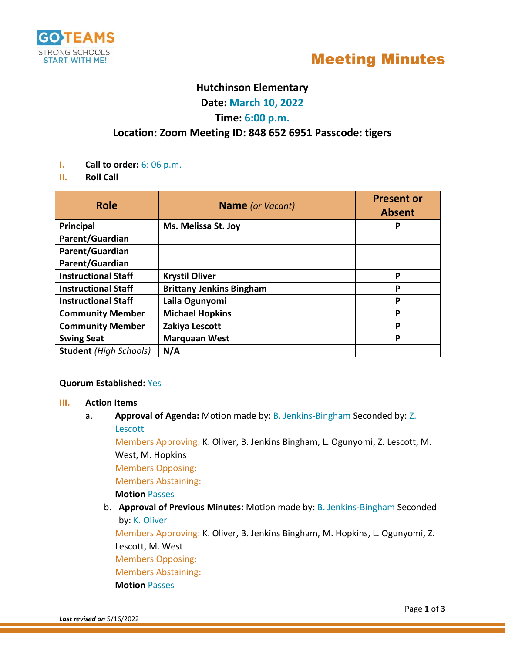



## **Hutchinson Elementary**

**Date: March 10, 2022**

## **Time: 6:00 p.m.**

## **Location: Zoom Meeting ID: 848 652 6951 Passcode: tigers**

- **I. Call to order:** 6: 06 p.m.
- **II. Roll Call**

| <b>Role</b>                   | <b>Name</b> (or Vacant)         | <b>Present or</b><br><b>Absent</b> |
|-------------------------------|---------------------------------|------------------------------------|
| Principal                     | Ms. Melissa St. Joy             | Р                                  |
| Parent/Guardian               |                                 |                                    |
| Parent/Guardian               |                                 |                                    |
| Parent/Guardian               |                                 |                                    |
| <b>Instructional Staff</b>    | <b>Krystil Oliver</b>           | P                                  |
| <b>Instructional Staff</b>    | <b>Brittany Jenkins Bingham</b> | P                                  |
| <b>Instructional Staff</b>    | Laila Ogunyomi                  | P                                  |
| <b>Community Member</b>       | <b>Michael Hopkins</b>          | P                                  |
| <b>Community Member</b>       | Zakiya Lescott                  | P                                  |
| <b>Swing Seat</b>             | <b>Marquaan West</b>            | P                                  |
| <b>Student</b> (High Schools) | N/A                             |                                    |

#### **Quorum Established:** Yes

#### **III. Action Items**

a. **Approval of Agenda:** Motion made by: B. Jenkins-Bingham Seconded by: Z. Lescott

Members Approving: K. Oliver, B. Jenkins Bingham, L. Ogunyomi, Z. Lescott, M. West, M. Hopkins

Members Opposing:

Members Abstaining:

#### **Motion** Passes

b. **Approval of Previous Minutes:** Motion made by: B. Jenkins-Bingham Seconded by: K. Oliver

Members Approving: K. Oliver, B. Jenkins Bingham, M. Hopkins, L. Ogunyomi, Z. Lescott, M. West

Members Opposing:

Members Abstaining:

**Motion** Passes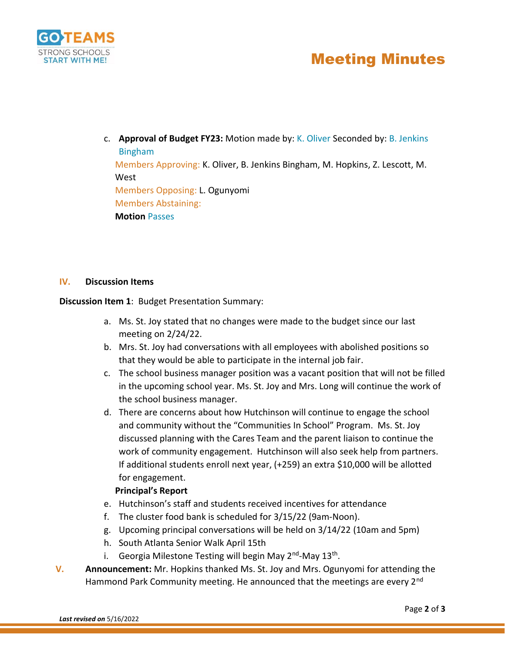

# Meeting Minutes

c. **Approval of Budget FY23:** Motion made by: K. Oliver Seconded by: B. Jenkins Bingham Members Approving: K. Oliver, B. Jenkins Bingham, M. Hopkins, Z. Lescott, M. West Members Opposing: L. Ogunyomi Members Abstaining: **Motion** Passes

#### **IV. Discussion Items**

**Discussion Item 1**: Budget Presentation Summary:

- a. Ms. St. Joy stated that no changes were made to the budget since our last meeting on 2/24/22.
- b. Mrs. St. Joy had conversations with all employees with abolished positions so that they would be able to participate in the internal job fair.
- c. The school business manager position was a vacant position that will not be filled in the upcoming school year. Ms. St. Joy and Mrs. Long will continue the work of the school business manager.
- d. There are concerns about how Hutchinson will continue to engage the school and community without the "Communities In School" Program. Ms. St. Joy discussed planning with the Cares Team and the parent liaison to continue the work of community engagement. Hutchinson will also seek help from partners. If additional students enroll next year, (+259) an extra \$10,000 will be allotted for engagement.

#### **Principal's Report**

- e. Hutchinson's staff and students received incentives for attendance
- f. The cluster food bank is scheduled for 3/15/22 (9am-Noon).
- g. Upcoming principal conversations will be held on 3/14/22 (10am and 5pm)
- h. South Atlanta Senior Walk April 15th
- i. Georgia Milestone Testing will begin May 2<sup>nd</sup>-May 13<sup>th</sup>.
- **V. Announcement:** Mr. Hopkins thanked Ms. St. Joy and Mrs. Ogunyomi for attending the Hammond Park Community meeting. He announced that the meetings are every 2<sup>nd</sup>